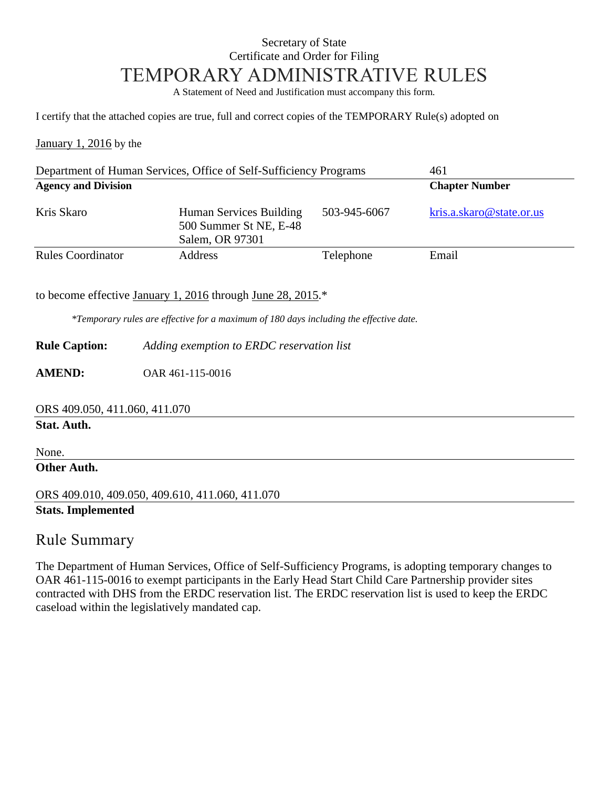### Secretary of State Certificate and Order for Filing TEMPORARY ADMINISTRATIVE RULES

A Statement of Need and Justification must accompany this form.

I certify that the attached copies are true, full and correct copies of the TEMPORARY Rule(s) adopted on

January 1, 2016 by the

| Department of Human Services, Office of Self-Sufficiency Programs |                                                                      |              | 461                      |
|-------------------------------------------------------------------|----------------------------------------------------------------------|--------------|--------------------------|
| <b>Agency and Division</b>                                        |                                                                      |              | <b>Chapter Number</b>    |
| Kris Skaro                                                        | Human Services Building<br>500 Summer St NE, E-48<br>Salem, OR 97301 | 503-945-6067 | kris.a.skaro@state.or.us |
| <b>Rules Coordinator</b>                                          | <b>Address</b>                                                       | Telephone    | Email                    |

to become effective January 1, 2016 through June 28, 2015.\*

*\*Temporary rules are effective for a maximum of 180 days including the effective date.*

**Rule Caption:** *Adding exemption to ERDC reservation list*

**AMEND:** OAR 461-115-0016

ORS 409.050, 411.060, 411.070

#### **Stat. Auth.**

None.

**Other Auth.**

ORS 409.010, 409.050, 409.610, 411.060, 411.070 **Stats. Implemented**

#### Rule Summary

The Department of Human Services, Office of Self-Sufficiency Programs, is adopting temporary changes to OAR 461-115-0016 to exempt participants in the Early Head Start Child Care Partnership provider sites contracted with DHS from the ERDC reservation list. The ERDC reservation list is used to keep the ERDC caseload within the legislatively mandated cap.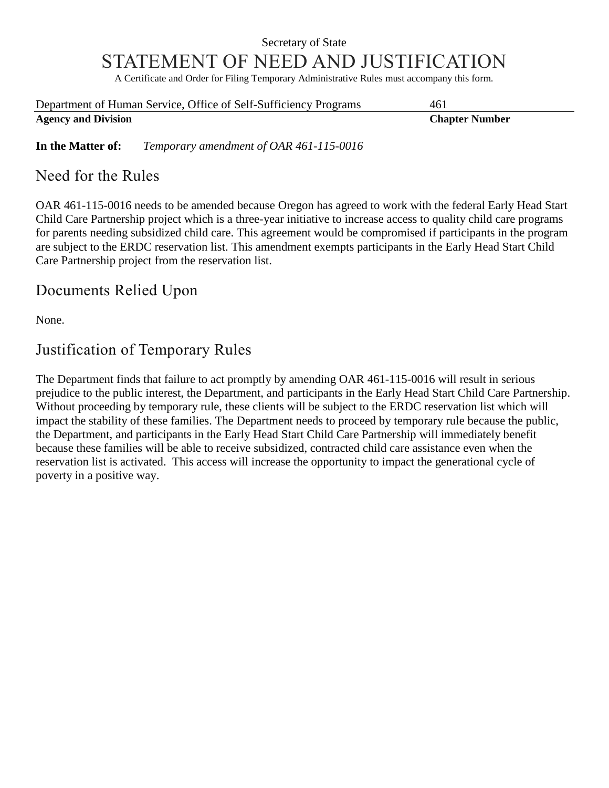# Secretary of State STATEMENT OF NEED AND JUSTIFICATION

A Certificate and Order for Filing Temporary Administrative Rules must accompany this form.

| Department of Human Service, Office of Self-Sufficiency Programs | 461                   |
|------------------------------------------------------------------|-----------------------|
| <b>Agency and Division</b>                                       | <b>Chapter Number</b> |

**In the Matter of:** *Temporary amendment of OAR 461-115-0016*

#### Need for the Rules

OAR 461-115-0016 needs to be amended because Oregon has agreed to work with the federal Early Head Start Child Care Partnership project which is a three-year initiative to increase access to quality child care programs for parents needing subsidized child care. This agreement would be compromised if participants in the program are subject to the ERDC reservation list. This amendment exempts participants in the Early Head Start Child Care Partnership project from the reservation list.

## Documents Relied Upon

None.

# Justification of Temporary Rules

The Department finds that failure to act promptly by amending OAR 461-115-0016 will result in serious prejudice to the public interest, the Department, and participants in the Early Head Start Child Care Partnership. Without proceeding by temporary rule, these clients will be subject to the ERDC reservation list which will impact the stability of these families. The Department needs to proceed by temporary rule because the public, the Department, and participants in the Early Head Start Child Care Partnership will immediately benefit because these families will be able to receive subsidized, contracted child care assistance even when the reservation list is activated. This access will increase the opportunity to impact the generational cycle of poverty in a positive way.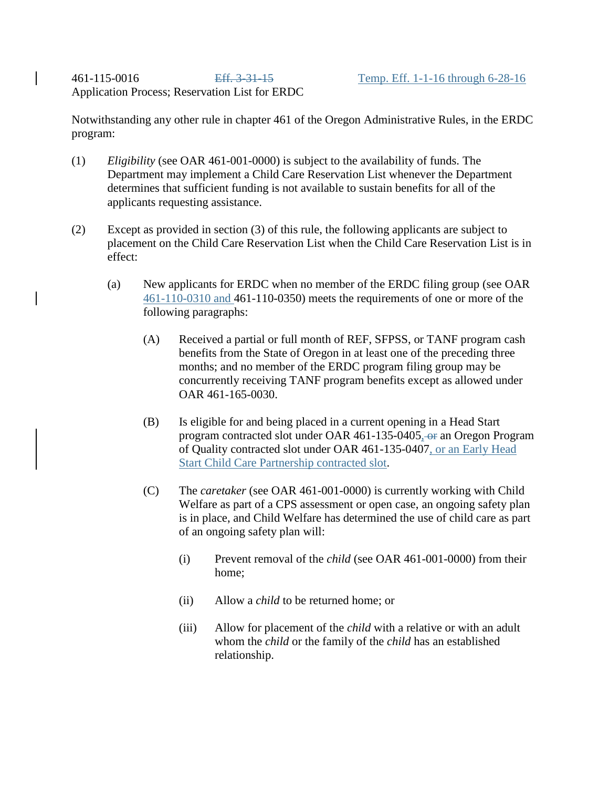Application Process; Reservation List for ERDC

Notwithstanding any other rule in chapter 461 of the Oregon Administrative Rules, in the ERDC program:

- (1) *Eligibility* (see OAR 461-001-0000) is subject to the availability of funds. The Department may implement a Child Care Reservation List whenever the Department determines that sufficient funding is not available to sustain benefits for all of the applicants requesting assistance.
- (2) Except as provided in section (3) of this rule, the following applicants are subject to placement on the Child Care Reservation List when the Child Care Reservation List is in effect:
	- (a) New applicants for ERDC when no member of the ERDC filing group (see OAR 461-110-0310 and 461-110-0350) meets the requirements of one or more of the following paragraphs:
		- (A) Received a partial or full month of REF, SFPSS, or TANF program cash benefits from the State of Oregon in at least one of the preceding three months; and no member of the ERDC program filing group may be concurrently receiving TANF program benefits except as allowed under OAR 461-165-0030.
		- (B) Is eligible for and being placed in a current opening in a Head Start program contracted slot under OAR 461-135-0405, or an Oregon Program of Quality contracted slot under OAR 461-135-0407, or an Early Head Start Child Care Partnership contracted slot.
		- (C) The *caretaker* (see OAR 461-001-0000) is currently working with Child Welfare as part of a CPS assessment or open case, an ongoing safety plan is in place, and Child Welfare has determined the use of child care as part of an ongoing safety plan will:
			- (i) Prevent removal of the *child* (see OAR 461-001-0000) from their home;
			- (ii) Allow a *child* to be returned home; or
			- (iii) Allow for placement of the *child* with a relative or with an adult whom the *child* or the family of the *child* has an established relationship.